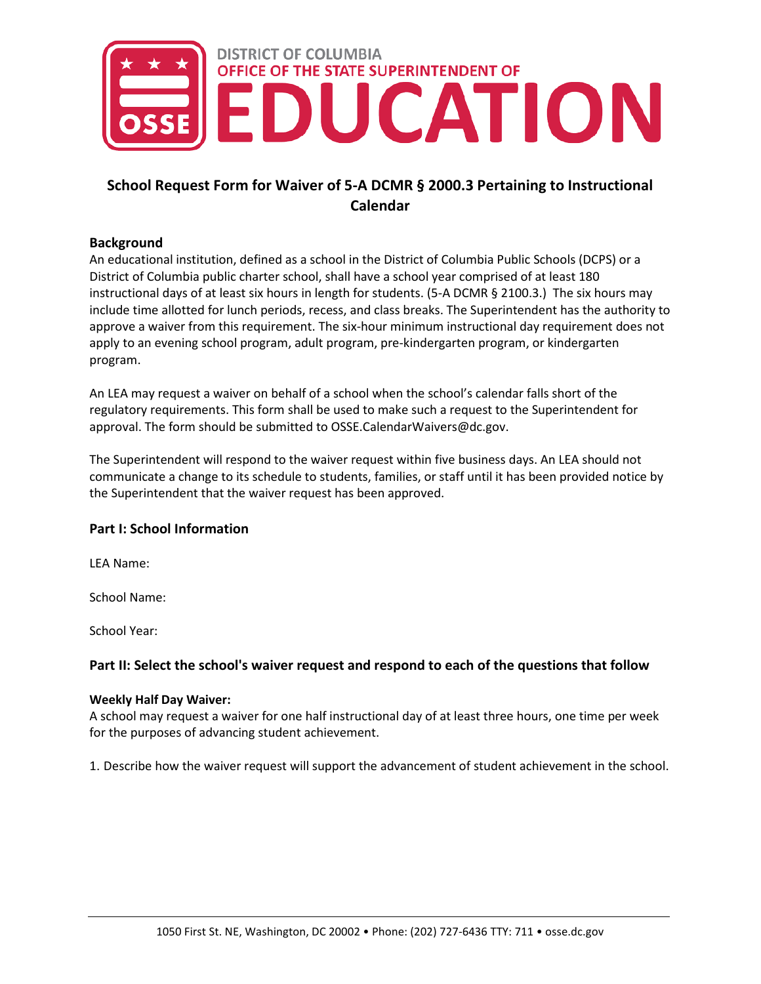

# **School Request Form for Waiver of 5-A DCMR § 2000.3 Pertaining to Instructional Calendar**

## **Background**

An educational institution, defined as a school in the District of Columbia Public Schools (DCPS) or a District of Columbia public charter school, shall have a school year comprised of at least 180 instructional days of at least six hours in length for students. (5-A DCMR § 2100.3.) The six hours may include time allotted for lunch periods, recess, and class breaks. The Superintendent has the authority to approve a waiver from this requirement. The six-hour minimum instructional day requirement does not apply to an evening school program, adult program, pre-kindergarten program, or kindergarten program.

An LEA may request a waiver on behalf of a school when the school's calendar falls short of the regulatory requirements. This form shall be used to make such a request to the Superintendent for approval. The form should be submitted to OSSE.CalendarWaivers@dc.gov.

The Superintendent will respond to the waiver request within five business days. An LEA should not communicate a change to its schedule to students, families, or staff until it has been provided notice by the Superintendent that the waiver request has been approved.

## **Part I: School Information**

LEA Name:

School Name:

School Year:

## **Part II: Select the school's waiver request and respond to each of the questions that follow**

#### **Weekly Half Day Waiver:**

A school may request a waiver for one half instructional day of at least three hours, one time per week for the purposes of advancing student achievement.  

1. Describe how the waiver request will support the advancement of student achievement in the school.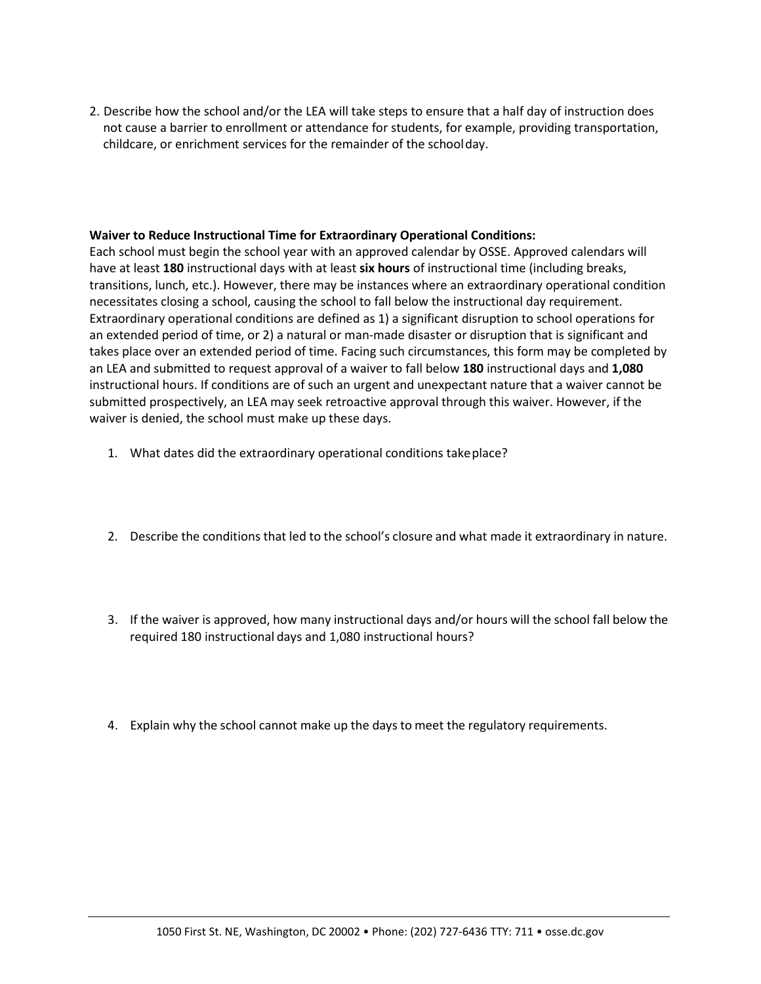2. Describe how the school and/or the LEA will take steps to ensure that a half day of instruction does not cause a barrier to enrollment or attendance for students, for example, providing transportation, childcare, or enrichment services for the remainder of the schoolday.

### **Waiver to Reduce Instructional Time for Extraordinary Operational Conditions:**

Each school must begin the school year with an approved calendar by OSSE. Approved calendars will have at least **180** instructional days with at least **six hours** of instructional time (including breaks, transitions, lunch, etc.). However, there may be instances where an extraordinary operational condition necessitates closing a school, causing the school to fall below the instructional day requirement. Extraordinary operational conditions are defined as 1) a significant disruption to school operations for an extended period of time, or 2) a natural or man-made disaster or disruption that is significant and takes place over an extended period of time. Facing such circumstances, this form may be completed by an LEA and submitted to request approval of a waiver to fall below **180** instructional days and **1,080** instructional hours. If conditions are of such an urgent and unexpectant nature that a waiver cannot be submitted prospectively, an LEA may seek retroactive approval through this waiver. However, if the waiver is denied, the school must make up these days.

- 1. What dates did the extraordinary operational conditions takeplace?
- 2. Describe the conditions that led to the school's closure and what made it extraordinary in nature.
- 3. If the waiver is approved, how many instructional days and/or hours will the school fall below the required 180 instructional days and 1,080 instructional hours?
- 4. Explain why the school cannot make up the days to meet the regulatory requirements.